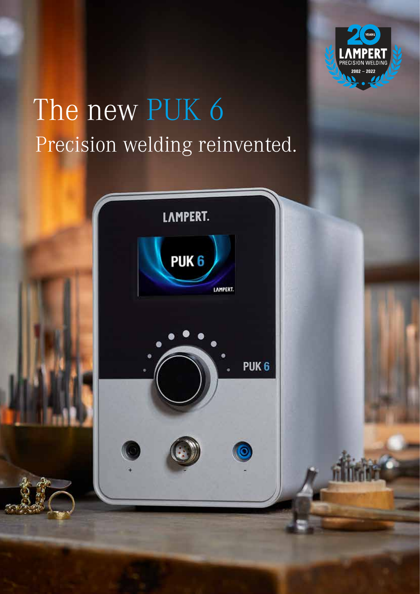

# The new PUK 6 Precision welding reinvented.

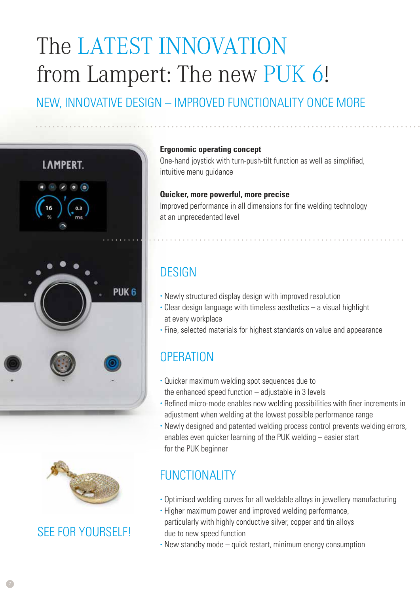## The LATEST INNOVATION from Lampert: The new PUK 6! NEW, INNOVATIVE DESIGN – IMPROVED FUNCTIONALITY ONCE MORE





### SEE FOR YOURSELF!

#### **Ergonomic operating concept**

One-hand joystick with turn-push-tilt function as well as simplified, intuitive menu guidance

#### **Quicker, more powerful, more precise**

Improved performance in all dimensions for fine welding technology at an unprecedented level

### **DESIGN**

- Newly structured display design with improved resolution
- Clear design language with timeless aesthetics a visual highlight at every workplace
- Fine, selected materials for highest standards on value and appearance

#### **OPERATION**

- Quicker maximum welding spot sequences due to the enhanced speed function  $-$  adjustable in 3 levels
- Refined micro-mode enables new welding possibilities with finer increments in adjustment when welding at the lowest possible performance range
- Newly designed and patented welding process control prevents welding errors, enables even quicker learning of the PUK welding – easier start for the PUK beginner

### FUNCTIONALITY

- Optimised welding curves for all weldable alloys in jewellery manufacturing
- Higher maximum power and improved welding performance, particularly with highly conductive silver, copper and tin alloys due to new speed function
- New standby mode quick restart, minimum energy consumption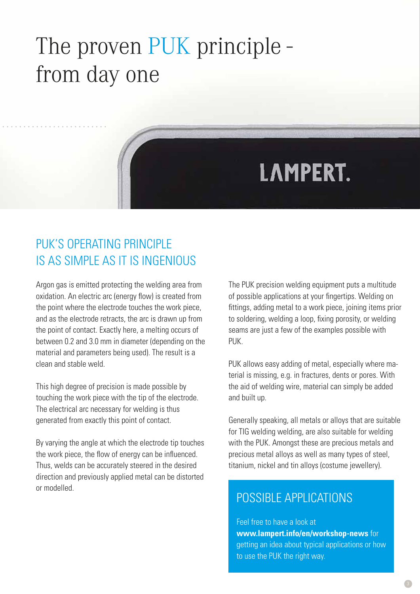# The proven PUK principle from day one

# **LAMPERT.**

### PUK'S OPERATING PRINCIPLE IS AS SIMPLE AS IT IS INGENIOUS

Argon gas is emitted protecting the welding area from oxidation. An electric arc (energy flow) is created from the point where the electrode touches the work piece, and as the electrode retracts, the arc is drawn up from the point of contact. Exactly here, a melting occurs of between 0.2 and 3.0 mm in diameter (depending on the material and parameters being used). The result is a clean and stable weld.

This high degree of precision is made possible by touching the work piece with the tip of the electrode. The electrical arc necessary for welding is thus generated from exactly this point of contact.

By varying the angle at which the electrode tip touches the work piece, the flow of energy can be influenced. Thus, welds can be accurately steered in the desired direction and previously applied metal can be distorted or modelled.

The PUK precision welding equipment puts a multitude of possible applications at your fingertips. Welding on fittings, adding metal to a work piece, joining items prior to soldering, welding a loop, fixing porosity, or welding seams are just a few of the examples possible with PUK.

PUK allows easy adding of metal, especially where material is missing, e.g. in fractures, dents or pores. With the aid of welding wire, material can simply be added and built up.

Generally speaking, all metals or alloys that are suitable for TIG welding welding, are also suitable for welding with the PUK. Amongst these are precious metals and precious metal alloys as well as many types of steel, titanium, nickel and tin alloys (costume jewellery).

#### POSSIBLE APPLICATIONS

Feel free to have a look at **www.lampert.info/en/workshop-news** for getting an idea about typical applications or how to use the PUK the right way.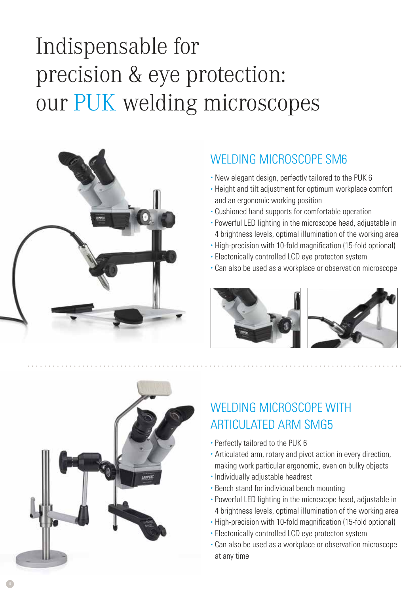# Indispensable for precision & eye protection: our PUK welding microscopes



### WELDING MICROSCOPE SM6

- New elegant design, perfectly tailored to the PUK 6
- Height and tilt adjustment for optimum workplace comfort and an ergonomic working position
- Cushioned hand supports for comfortable operation
- Powerful LED lighting in the microscope head, adjustable in 4 brightness levels, optimal illumination of the working area
- High-precision with 10-fold magnification (15-fold optional)
- Electonically controlled LCD eye protecton system
- Can also be used as a workplace or observation microscope







## WELDING MICROSCOPE WITH **ARTICULATED ARM SMG5**

- Perfectly tailored to the PUK 6
- Articulated arm, rotary and pivot action in every direction, making work particular ergonomic, even on bulky objects
- Individually adjustable headrest
- Bench stand for individual bench mounting
- Powerful LED lighting in the microscope head, adjustable in 4 brightness levels, optimal illumination of the working area
- High-precision with 10-fold magnification (15-fold optional)
- Electonically controlled LCD eye protecton system
- Can also be used as a workplace or observation microscope at any time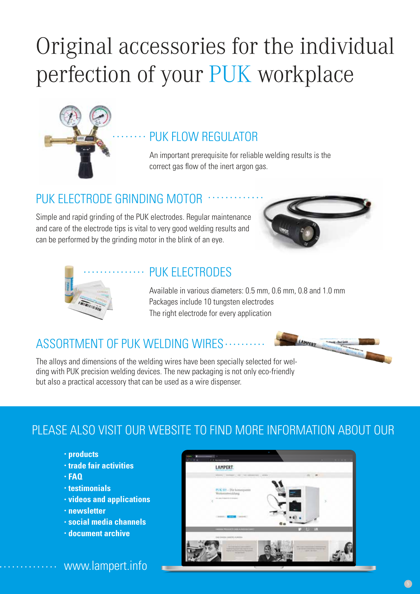# Original accessories for the individual perfection of your PUK workplace



#### PUK FLOW REGULATOR

An important prerequisite for reliable welding results is the correct gas flow of the inert argon gas.

#### PUK ELECTRODE GRINDING MOTOR

Simple and rapid grinding of the PUK electrodes. Regular maintenance and care of the electrode tips is vital to very good welding results and can be performed by the grinding motor in the blink of an eye.





#### PUK ELECTRODES

Available in various diameters: 0.5 mm, 0.6 mm, 0.8 and 1.0 mm Packages include 10 tungsten electrodes The right electrode for every application

#### ASSORTMENT OF PUK WELDING WIRES ......

The alloys and dimensions of the welding wires have been specially selected for welding with PUK precision welding devices. The new packaging is not only eco-friendly but also a practical accessory that can be used as a wire dispenser.

### PLEASE ALSO VISIT OUR WEBSITE TO FIND MORE INFORMATION ABOUT OUR

- **products**
- **trade fair activities**
- **FAQ**
- **testimonials**
- **videos and applications**
- **newsletter**
- **social media channels**
- **document archive**



#### www.lampert.info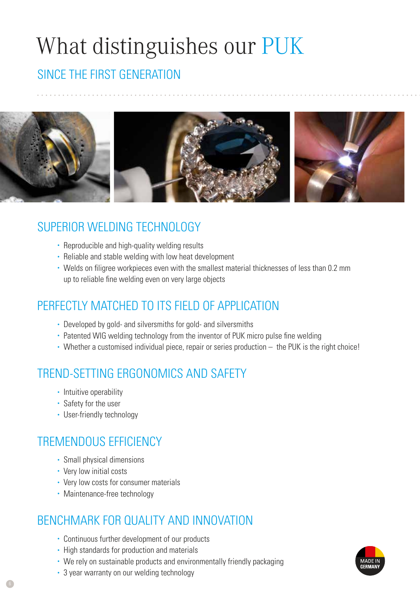# What distinguishes our PUK

### SINCE THE FIRST GENERATION



### SUPERIOR WELDING TECHNOLOGY

- Reproducible and high-quality welding results
- Reliable and stable welding with low heat development
- Welds on filigree workpieces even with the smallest material thicknesses of less than 0.2 mm up to reliable fine welding even on very large objects

### PERFECTLY MATCHED TO ITS FIFLD OF APPLICATION

- Developed by gold- and silversmiths for gold- and silversmiths
- Patented WIG welding technology from the inventor of PUK micro pulse fine welding
- Whether a customised individual piece, repair or series production the PUK is the right choice!

### TREND-SETTING ERGONOMICS AND SAFETY

- Intuitive operability
- Safety for the user
- User-friendly technology

### TREMENDOUS EFFICIENCY

- Small physical dimensions
- Very low initial costs
- Very low costs for consumer materials
- Maintenance-free technology

#### BENCHMARK FOR QUALITY AND INNOVATION

- Continuous further development of our products
- High standards for production and materials
- We rely on sustainable products and environmentally friendly packaging
- 3 year warranty on our welding technology

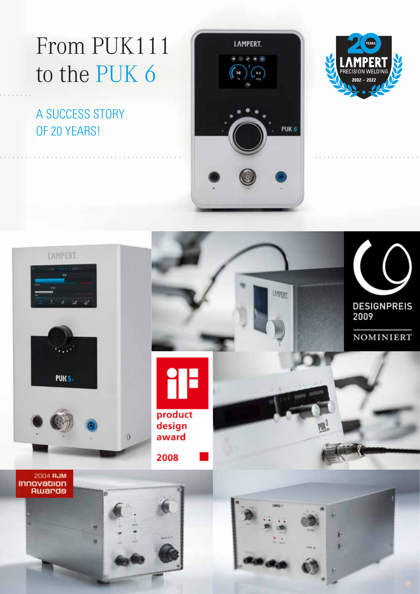# From PUK111 to the PUK 6

### A SUCCESS STORY OF 20 YEARS!